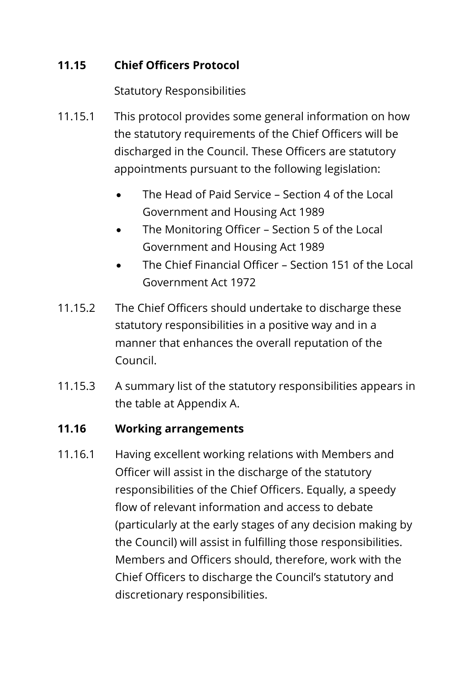## **11.15 Chief Officers Protocol**

Statutory Responsibilities

- 11.15.1 This protocol provides some general information on how the statutory requirements of the Chief Officers will be discharged in the Council. These Officers are statutory appointments pursuant to the following legislation:
	- The Head of Paid Service Section 4 of the Local Government and Housing Act 1989
	- The Monitoring Officer Section 5 of the Local Government and Housing Act 1989
	- The Chief Financial Officer Section 151 of the Local Government Act 1972
- 11.15.2 The Chief Officers should undertake to discharge these statutory responsibilities in a positive way and in a manner that enhances the overall reputation of the Council.
- 11.15.3 A summary list of the statutory responsibilities appears in the table at Appendix A.

## **11.16 Working arrangements**

11.16.1 Having excellent working relations with Members and Officer will assist in the discharge of the statutory responsibilities of the Chief Officers. Equally, a speedy flow of relevant information and access to debate (particularly at the early stages of any decision making by the Council) will assist in fulfilling those responsibilities. Members and Officers should, therefore, work with the Chief Officers to discharge the Council's statutory and discretionary responsibilities.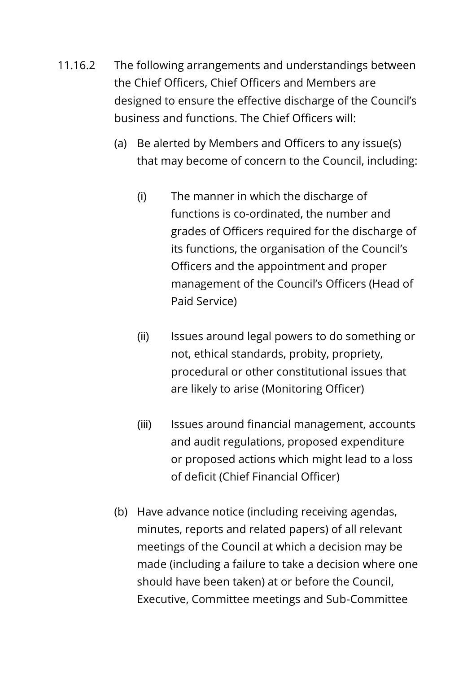- 11.16.2 The following arrangements and understandings between the Chief Officers, Chief Officers and Members are designed to ensure the effective discharge of the Council's business and functions. The Chief Officers will:
	- (a) Be alerted by Members and Officers to any issue(s) that may become of concern to the Council, including:
		- (i) The manner in which the discharge of functions is co-ordinated, the number and grades of Officers required for the discharge of its functions, the organisation of the Council's Officers and the appointment and proper management of the Council's Officers (Head of Paid Service)
		- (ii) Issues around legal powers to do something or not, ethical standards, probity, propriety, procedural or other constitutional issues that are likely to arise (Monitoring Officer)
		- (iii) Issues around financial management, accounts and audit regulations, proposed expenditure or proposed actions which might lead to a loss of deficit (Chief Financial Officer)
	- (b) Have advance notice (including receiving agendas, minutes, reports and related papers) of all relevant meetings of the Council at which a decision may be made (including a failure to take a decision where one should have been taken) at or before the Council, Executive, Committee meetings and Sub-Committee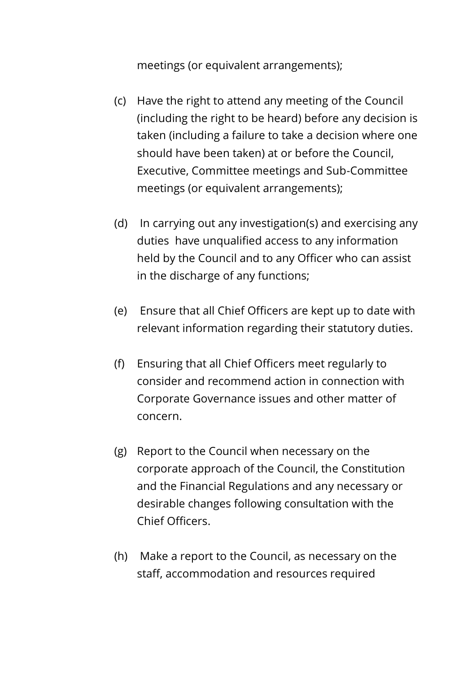meetings (or equivalent arrangements);

- (c) Have the right to attend any meeting of the Council (including the right to be heard) before any decision is taken (including a failure to take a decision where one should have been taken) at or before the Council, Executive, Committee meetings and Sub-Committee meetings (or equivalent arrangements);
- (d) In carrying out any investigation(s) and exercising any duties have unqualified access to any information held by the Council and to any Officer who can assist in the discharge of any functions;
- (e) Ensure that all Chief Officers are kept up to date with relevant information regarding their statutory duties.
- (f) Ensuring that all Chief Officers meet regularly to consider and recommend action in connection with Corporate Governance issues and other matter of concern.
- (g) Report to the Council when necessary on the corporate approach of the Council, the Constitution and the Financial Regulations and any necessary or desirable changes following consultation with the Chief Officers.
- (h) Make a report to the Council, as necessary on the staff, accommodation and resources required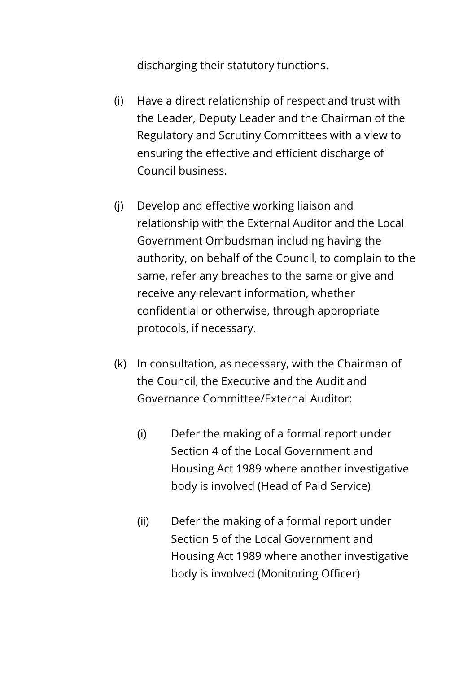discharging their statutory functions.

- (i) Have a direct relationship of respect and trust with the Leader, Deputy Leader and the Chairman of the Regulatory and Scrutiny Committees with a view to ensuring the effective and efficient discharge of Council business.
- (j) Develop and effective working liaison and relationship with the External Auditor and the Local Government Ombudsman including having the authority, on behalf of the Council, to complain to the same, refer any breaches to the same or give and receive any relevant information, whether confidential or otherwise, through appropriate protocols, if necessary.
- (k) In consultation, as necessary, with the Chairman of the Council, the Executive and the Audit and Governance Committee/External Auditor:
	- (i) Defer the making of a formal report under Section 4 of the Local Government and Housing Act 1989 where another investigative body is involved (Head of Paid Service)
	- (ii) Defer the making of a formal report under Section 5 of the Local Government and Housing Act 1989 where another investigative body is involved (Monitoring Officer)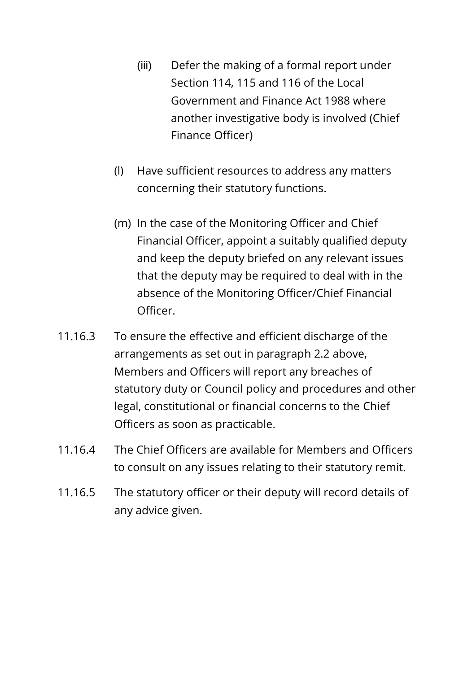- (iii) Defer the making of a formal report under Section 114, 115 and 116 of the Local Government and Finance Act 1988 where another investigative body is involved (Chief Finance Officer)
- (l) Have sufficient resources to address any matters concerning their statutory functions.
- (m) In the case of the Monitoring Officer and Chief Financial Officer, appoint a suitably qualified deputy and keep the deputy briefed on any relevant issues that the deputy may be required to deal with in the absence of the Monitoring Officer/Chief Financial Officer.
- 11.16.3 To ensure the effective and efficient discharge of the arrangements as set out in paragraph 2.2 above, Members and Officers will report any breaches of statutory duty or Council policy and procedures and other legal, constitutional or financial concerns to the Chief Officers as soon as practicable.
- 11.16.4 The Chief Officers are available for Members and Officers to consult on any issues relating to their statutory remit.
- 11.16.5 The statutory officer or their deputy will record details of any advice given.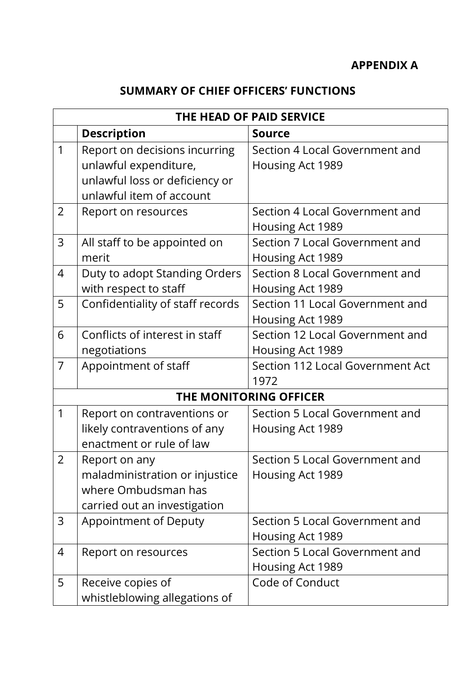## **SUMMARY OF CHIEF OFFICERS' FUNCTIONS**

| THE HEAD OF PAID SERVICE |                                  |                                  |
|--------------------------|----------------------------------|----------------------------------|
|                          | <b>Description</b>               | <b>Source</b>                    |
| $\mathbf 1$              | Report on decisions incurring    | Section 4 Local Government and   |
|                          | unlawful expenditure,            | Housing Act 1989                 |
|                          | unlawful loss or deficiency or   |                                  |
|                          | unlawful item of account         |                                  |
| $\overline{2}$           | Report on resources              | Section 4 Local Government and   |
|                          |                                  | Housing Act 1989                 |
| 3                        | All staff to be appointed on     | Section 7 Local Government and   |
|                          | merit                            | Housing Act 1989                 |
| $\overline{4}$           | Duty to adopt Standing Orders    | Section 8 Local Government and   |
|                          | with respect to staff            | Housing Act 1989                 |
| 5                        | Confidentiality of staff records | Section 11 Local Government and  |
|                          |                                  | Housing Act 1989                 |
| 6                        | Conflicts of interest in staff   | Section 12 Local Government and  |
|                          | negotiations                     | Housing Act 1989                 |
| $\overline{7}$           | Appointment of staff             | Section 112 Local Government Act |
|                          |                                  | 1972                             |
| THE MONITORING OFFICER   |                                  |                                  |
| $\mathbf{1}$             | Report on contraventions or      | Section 5 Local Government and   |
|                          | likely contraventions of any     | Housing Act 1989                 |
|                          | enactment or rule of law         |                                  |
| $\overline{2}$           | Report on any                    | Section 5 Local Government and   |
|                          | maladministration or injustice   | Housing Act 1989                 |
|                          | where Ombudsman has              |                                  |
|                          | carried out an investigation     |                                  |
| 3                        | Appointment of Deputy            | Section 5 Local Government and   |
|                          |                                  | Housing Act 1989                 |
| 4                        | Report on resources              | Section 5 Local Government and   |
|                          |                                  | Housing Act 1989                 |
| 5                        | Receive copies of                | Code of Conduct                  |
|                          | whistleblowing allegations of    |                                  |